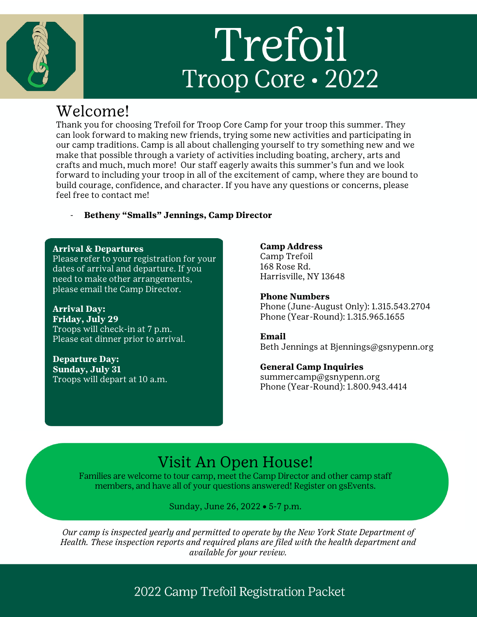# Trefoil Troop Core · 2022

## Welcome!

Thank you for choosing Trefoil for Troop Core Camp for your troop this summer. They can look forward to making new friends, trying some new activities and participating in our camp traditions. Camp is all about challenging yourself to try something new and we make that possible through a variety of activities including boating, archery, arts and crafts and much, much more! Our staff eagerly awaits this summer's fun and we look forward to including your troop in all of the excitement of camp, where they are bound to build courage, confidence, and character. If you have any questions or concerns, please feel free to contact me!

#### - **Betheny "Smalls" Jennings, Camp Director**

#### **Arrival & Departures**

Please refer to your registration for your dates of arrival and departure. If you need to make other arrangements, please email the Camp Director.

**Arrival Day: Friday, July 29** Troops will check-in at 7 p.m. Please eat dinner prior to arrival.

**Departure Day: Sunday, July 31** Troops will depart at 10 a.m.

#### **Camp Address**

Camp Trefoil 168 Rose Rd. Harrisville, NY 13648

**Phone Numbers** Phone (June-August Only): 1.315.543.2704 Phone (Year-Round): 1.315.965.1655

**Email** Beth Jennings at Bjennings@gsnypenn.org

#### **General Camp Inquiries**

summercamp@gsnypenn.org Phone (Year-Round): 1.800.943.4414

## Visit An Open House!

Families are welcome to tour camp, meet the Camp Director and other camp staff members, and have all of your questions answered! Register on gsEvents.

Sunday, June 26, 2022 • 5-7 p.m.

*Our camp is inspected yearly and permitted to operate by the New York State Department of Health. These inspection reports and required plans are filed with the health department and available for your review.*

## 2022 Camp Trefoil Registration Packet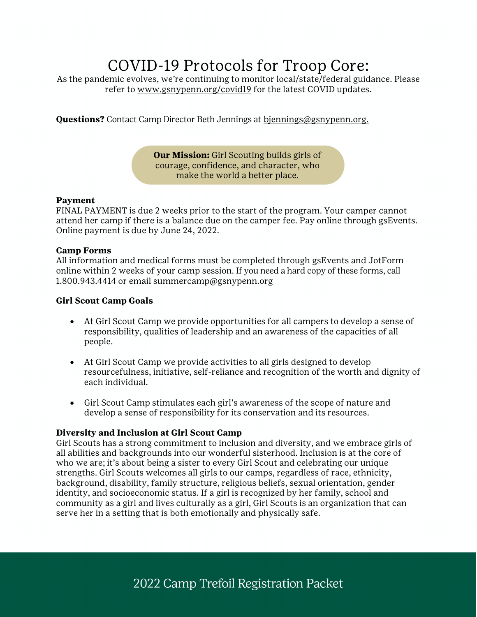# COVID-19 Protocols for Troop Core:

As the pandemic evolves, we're continuing to monitor local/state/federal guidance. Please refer to www.gsnypenn.org/covid19 for the latest COVID updates.

**Questions?** Contact Camp Director Beth Jennings at bjennings@gsnypenn.org.

**Our Mission:** Girl Scouting builds girls of courage, confidence, and character, who make the world a better place.

#### **Payment**

FINAL PAYMENT is due 2 weeks prior to the start of the program. Your camper cannot attend her camp if there is a balance due on the camper fee. Pay online through gsEvents. Online payment is due by June 24, 2022.

#### **Camp Forms**

All information and medical forms must be completed through gsEvents and JotForm online within 2 weeks of your camp session. If you need a hard copy of these forms, call 1.800.943.4414 or email summercamp@gsnypenn.org

#### **Girl Scout Camp Goals**

- At Girl Scout Camp we provide opportunities for all campers to develop a sense of responsibility, qualities of leadership and an awareness of the capacities of all people.
- At Girl Scout Camp we provide activities to all girls designed to develop resourcefulness, initiative, self-reliance and recognition of the worth and dignity of each individual.
- Girl Scout Camp stimulates each girl's awareness of the scope of nature and develop a sense of responsibility for its conservation and its resources.

#### **Diversity and Inclusion at Girl Scout Camp**

Girl Scouts has a strong commitment to inclusion and diversity, and we embrace girls of all abilities and backgrounds into our wonderful sisterhood. Inclusion is at the core of who we are; it's about being a sister to every Girl Scout and celebrating our unique strengths. Girl Scouts welcomes all girls to our camps, regardless of race, ethnicity, background, disability, family structure, religious beliefs, sexual orientation, gender identity, and socioeconomic status. If a girl is recognized by her family, school and community as a girl and lives culturally as a girl, Girl Scouts is an organization that can serve her in a setting that is both emotionally and physically safe.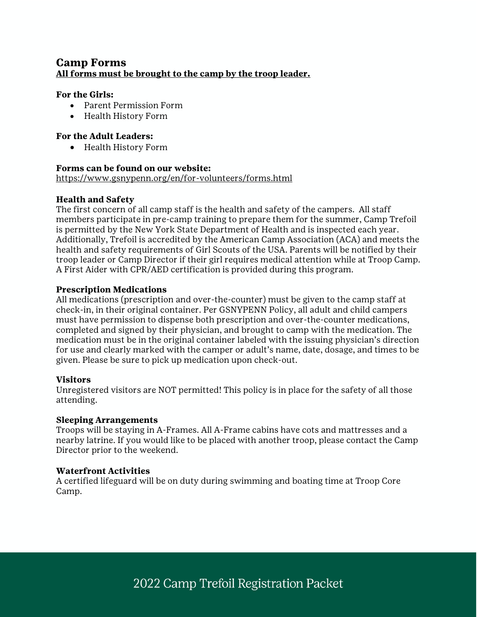#### **Camp Forms All forms must be brought to the camp by the troop leader.**

#### **For the Girls:**

- Parent Permission Form
- Health History Form

#### **For the Adult Leaders:**

• Health History Form

#### **Forms can be found on our website:**

https://www.gsnypenn.org/en/for-volunteers/forms.html

#### **Health and Safety**

The first concern of all camp staff is the health and safety of the campers. All staff members participate in pre-camp training to prepare them for the summer, Camp Trefoil is permitted by the New York State Department of Health and is inspected each year. Additionally, Trefoil is accredited by the American Camp Association (ACA) and meets the health and safety requirements of Girl Scouts of the USA. Parents will be notified by their troop leader or Camp Director if their girl requires medical attention while at Troop Camp. A First Aider with CPR/AED certification is provided during this program.

#### **Prescription Medications**

All medications (prescription and over-the-counter) must be given to the camp staff at check-in, in their original container. Per GSNYPENN Policy, all adult and child campers must have permission to dispense both prescription and over-the-counter medications, completed and signed by their physician, and brought to camp with the medication. The medication must be in the original container labeled with the issuing physician's direction for use and clearly marked with the camper or adult's name, date, dosage, and times to be given. Please be sure to pick up medication upon check-out.

#### **Visitors**

Unregistered visitors are NOT permitted! This policy is in place for the safety of all those attending.

#### **Sleeping Arrangements**

Troops will be staying in A-Frames. All A-Frame cabins have cots and mattresses and a nearby latrine. If you would like to be placed with another troop, please contact the Camp Director prior to the weekend.

#### **Waterfront Activities**

A certified lifeguard will be on duty during swimming and boating time at Troop Core Camp.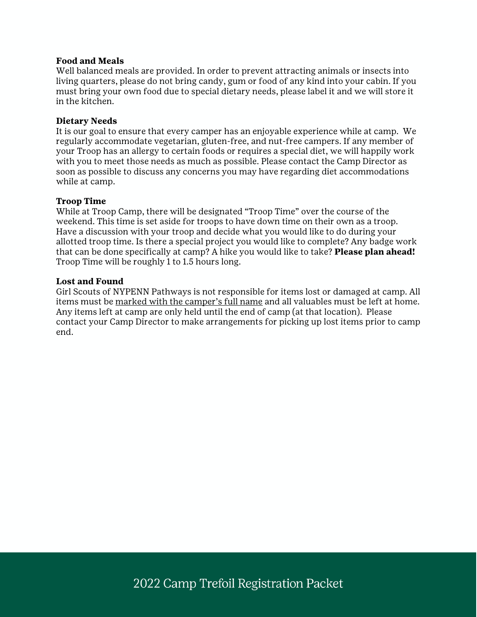#### **Food and Meals**

Well balanced meals are provided. In order to prevent attracting animals or insects into living quarters, please do not bring candy, gum or food of any kind into your cabin. If you must bring your own food due to special dietary needs, please label it and we will store it in the kitchen.

#### **Dietary Needs**

It is our goal to ensure that every camper has an enjoyable experience while at camp. We regularly accommodate vegetarian, gluten-free, and nut-free campers. If any member of your Troop has an allergy to certain foods or requires a special diet, we will happily work with you to meet those needs as much as possible. Please contact the Camp Director as soon as possible to discuss any concerns you may have regarding diet accommodations while at camp.

#### **Troop Time**

While at Troop Camp, there will be designated "Troop Time" over the course of the weekend. This time is set aside for troops to have down time on their own as a troop. Have a discussion with your troop and decide what you would like to do during your allotted troop time. Is there a special project you would like to complete? Any badge work that can be done specifically at camp? A hike you would like to take? **Please plan ahead!** Troop Time will be roughly 1 to 1.5 hours long.

#### **Lost and Found**

Girl Scouts of NYPENN Pathways is not responsible for items lost or damaged at camp. All items must be marked with the camper's full name and all valuables must be left at home. Any items left at camp are only held until the end of camp (at that location). Please contact your Camp Director to make arrangements for picking up lost items prior to camp end.